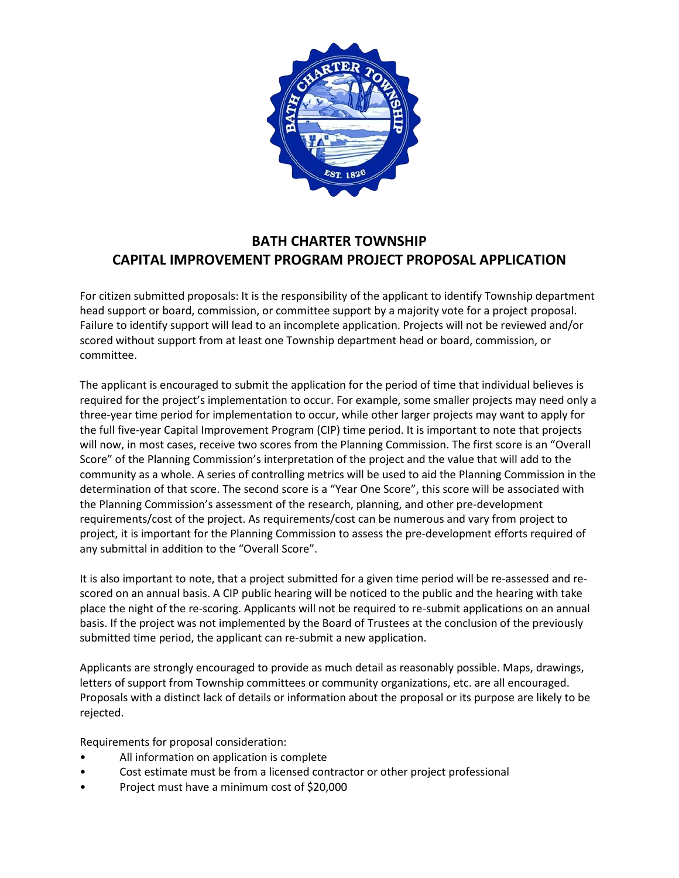

## **BATH CHARTER TOWNSHIP CAPITAL IMPROVEMENT PROGRAM PROJECT PROPOSAL APPLICATION**

For citizen submitted proposals: It is the responsibility of the applicant to identify Township department head support or board, commission, or committee support by a majority vote for a project proposal. Failure to identify support will lead to an incomplete application. Projects will not be reviewed and/or scored without support from at least one Township department head or board, commission, or committee.

The applicant is encouraged to submit the application for the period of time that individual believes is required for the project's implementation to occur. For example, some smaller projects may need only a three-year time period for implementation to occur, while other larger projects may want to apply for the full five-year Capital Improvement Program (CIP) time period. It is important to note that projects will now, in most cases, receive two scores from the Planning Commission. The first score is an "Overall Score" of the Planning Commission's interpretation of the project and the value that will add to the community as a whole. A series of controlling metrics will be used to aid the Planning Commission in the determination of that score. The second score is a "Year One Score", this score will be associated with the Planning Commission's assessment of the research, planning, and other pre-development requirements/cost of the project. As requirements/cost can be numerous and vary from project to project, it is important for the Planning Commission to assess the pre-development efforts required of any submittal in addition to the "Overall Score".

It is also important to note, that a project submitted for a given time period will be re-assessed and rescored on an annual basis. A CIP public hearing will be noticed to the public and the hearing with take place the night of the re-scoring. Applicants will not be required to re-submit applications on an annual basis. If the project was not implemented by the Board of Trustees at the conclusion of the previously submitted time period, the applicant can re-submit a new application.

Applicants are strongly encouraged to provide as much detail as reasonably possible. Maps, drawings, letters of support from Township committees or community organizations, etc. are all encouraged. Proposals with a distinct lack of details or information about the proposal or its purpose are likely to be rejected.

Requirements for proposal consideration:

- All information on application is complete
- Cost estimate must be from a licensed contractor or other project professional
- Project must have a minimum cost of \$20,000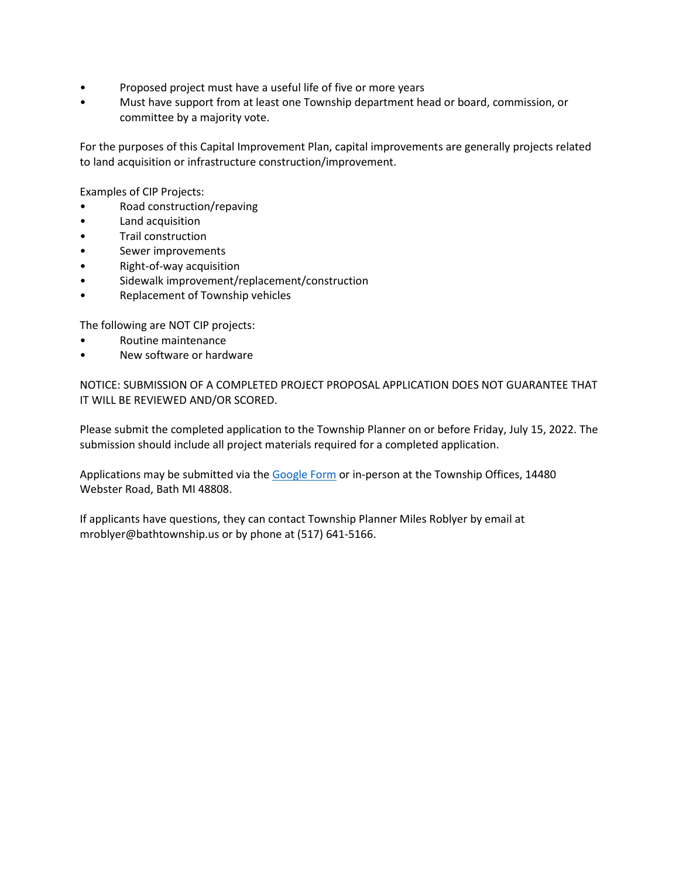- Proposed project must have a useful life of five or more years
- Must have support from at least one Township department head or board, commission, or committee by a majority vote.

For the purposes of this Capital Improvement Plan, capital improvements are generally projects related to land acquisition or infrastructure construction/improvement.

Examples of CIP Projects:

- Road construction/repaving
- Land acquisition
- Trail construction
- Sewer improvements
- Right-of-way acquisition
- Sidewalk improvement/replacement/construction
- Replacement of Township vehicles

The following are NOT CIP projects:

- Routine maintenance
- New software or hardware

NOTICE: SUBMISSION OF A COMPLETED PROJECT PROPOSAL APPLICATION DOES NOT GUARANTEE THAT IT WILL BE REVIEWED AND/OR SCORED.

Please submit the completed application to the Township Planner on or before Friday, July 15, 2022. The submission should include all project materials required for a completed application.

Applications may be submitted via th[e Google Form](https://forms.gle/mRfAWHAXwt9DoKsr9) or in-person at the Township Offices, 14480 Webster Road, Bath MI 48808.

If applicants have questions, they can contact Township Planner Miles Roblyer by email at mroblyer@bathtownship.us or by phone at (517) 641-5166.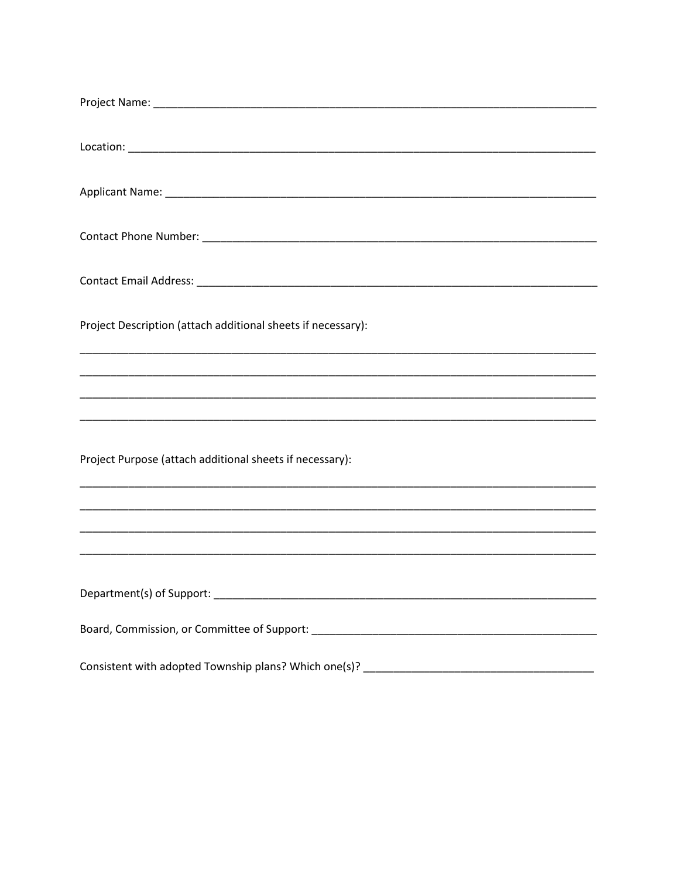| Project Description (attach additional sheets if necessary):                     |
|----------------------------------------------------------------------------------|
| ,我们也不能在这里的时候,我们也不能在这里的时候,我们也不能会在这里,我们也不能会在这里的时候,我们也不能会在这里的时候,我们也不能会在这里的时候,我们也不能会 |
|                                                                                  |
| Project Purpose (attach additional sheets if necessary):                         |
| ,我们也不能在这里的时候,我们也不能在这里的时候,我们也不能会在这里,我们也不能会在这里的时候,我们也不能会在这里的时候,我们也不能会在这里的时候,我们也不能会 |
|                                                                                  |
|                                                                                  |
|                                                                                  |
|                                                                                  |